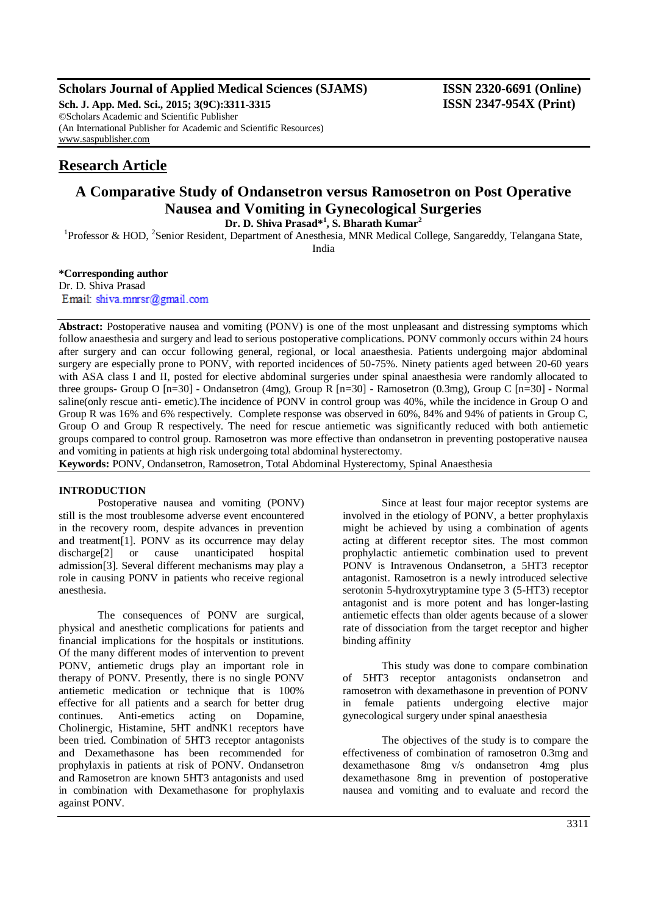# **Scholars Journal of Applied Medical Sciences (SJAMS) ISSN 2320-6691 (Online)**

**Sch. J. App. Med. Sci., 2015; 3(9C):3311-3315 ISSN 2347-954X (Print)** ©Scholars Academic and Scientific Publisher (An International Publisher for Academic and Scientific Resources) [www.saspublisher.com](http://www.saspublisher.com/)

# **Research Article**

# **A Comparative Study of Ondansetron versus Ramosetron on Post Operative Nausea and Vomiting in Gynecological Surgeries**

**Dr. D. Shiva Prasad\*<sup>1</sup> , S. Bharath Kumar<sup>2</sup>** <sup>1</sup>Professor & HOD, <sup>2</sup>Senior Resident, Department of Anesthesia, MNR Medical College, Sangareddy, Telangana State,

India

# **\*Corresponding author**

Dr. D. Shiva Prasad Email: shiva.mmsr@gmail.com

Abstract: Postoperative nausea and vomiting (PONV) is one of the most unpleasant and distressing symptoms which follow anaesthesia and surgery and lead to serious postoperative complications. PONV commonly occurs within 24 hours after surgery and can occur following general, regional, or local anaesthesia. Patients undergoing major abdominal surgery are especially prone to PONV, with reported incidences of 50-75%. Ninety patients aged between 20-60 years with ASA class I and II, posted for elective abdominal surgeries under spinal anaesthesia were randomly allocated to three groups- Group O [n=30] - Ondansetron (4mg), Group R [n=30] - Ramosetron (0.3mg), Group C [n=30] - Normal saline(only rescue anti- emetic).The incidence of PONV in control group was 40%, while the incidence in Group O and Group R was 16% and 6% respectively. Complete response was observed in 60%, 84% and 94% of patients in Group C, Group O and Group R respectively. The need for rescue antiemetic was significantly reduced with both antiemetic groups compared to control group. Ramosetron was more effective than ondansetron in preventing postoperative nausea and vomiting in patients at high risk undergoing total abdominal hysterectomy.

**Keywords:** PONV, Ondansetron, Ramosetron, Total Abdominal Hysterectomy, Spinal Anaesthesia

### **INTRODUCTION**

Postoperative nausea and vomiting (PONV) still is the most troublesome adverse event encountered in the recovery room, despite advances in prevention and treatment[1]. PONV as its occurrence may delay discharge[2] or cause unanticipated hospital admission[3]. Several different mechanisms may play a role in causing PONV in patients who receive regional anesthesia.

The consequences of PONV are surgical, physical and anesthetic complications for patients and financial implications for the hospitals or institutions. Of the many different modes of intervention to prevent PONV, antiemetic drugs play an important role in therapy of PONV. Presently, there is no single PONV antiemetic medication or technique that is 100% effective for all patients and a search for better drug continues. Anti-emetics acting on Dopamine, Cholinergic, Histamine, 5HT andNK1 receptors have been tried. Combination of 5HT3 receptor antagonists and Dexamethasone has been recommended for prophylaxis in patients at risk of PONV. Ondansetron and Ramosetron are known 5HT3 antagonists and used in combination with Dexamethasone for prophylaxis against PONV.

Since at least four major receptor systems are involved in the etiology of PONV, a better prophylaxis might be achieved by using a combination of agents acting at different receptor sites. The most common prophylactic antiemetic combination used to prevent PONV is Intravenous Ondansetron, a 5HT3 receptor antagonist. Ramosetron is a newly introduced selective serotonin 5-hydroxytryptamine type 3 (5-HT3) receptor antagonist and is more potent and has longer-lasting antiemetic effects than older agents because of a slower rate of dissociation from the target receptor and higher binding affinity

This study was done to compare combination of 5HT3 receptor antagonists ondansetron and ramosetron with dexamethasone in prevention of PONV in female patients undergoing elective major gynecological surgery under spinal anaesthesia

The objectives of the study is to compare the effectiveness of combination of ramosetron 0.3mg and dexamethasone 8mg v/s ondansetron 4mg plus dexamethasone 8mg in prevention of postoperative nausea and vomiting and to evaluate and record the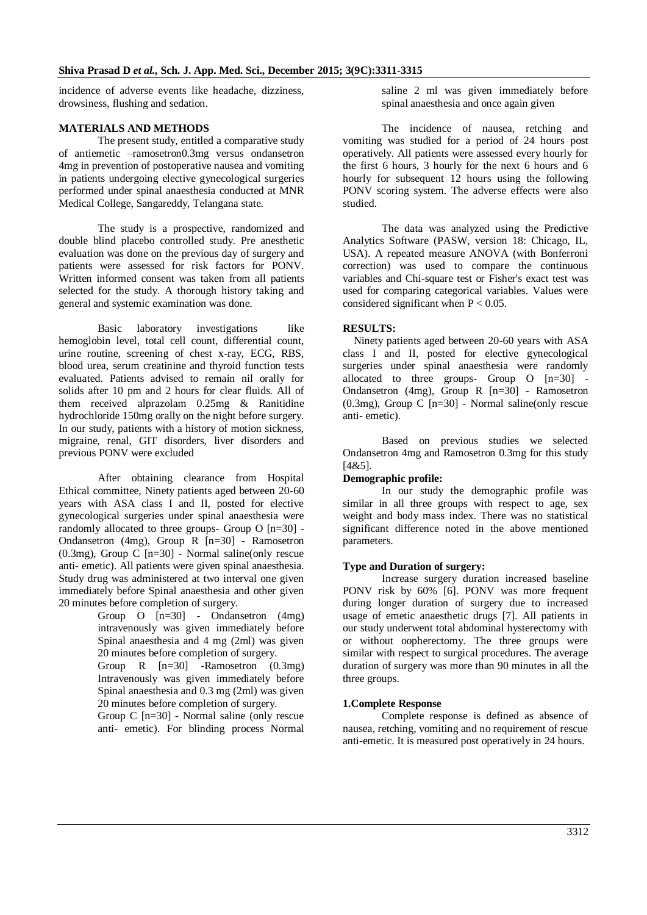incidence of adverse events like headache, dizziness, drowsiness, flushing and sedation.

#### **MATERIALS AND METHODS**

The present study, entitled a comparative study of antiemetic –ramosetron0.3mg versus ondansetron 4mg in prevention of postoperative nausea and vomiting in patients undergoing elective gynecological surgeries performed under spinal anaesthesia conducted at MNR Medical College, Sangareddy, Telangana state.

The study is a prospective, randomized and double blind placebo controlled study. Pre anesthetic evaluation was done on the previous day of surgery and patients were assessed for risk factors for PONV. Written informed consent was taken from all patients selected for the study. A thorough history taking and general and systemic examination was done.

Basic laboratory investigations like hemoglobin level, total cell count, differential count, urine routine, screening of chest x-ray, ECG, RBS, blood urea, serum creatinine and thyroid function tests evaluated. Patients advised to remain nil orally for solids after 10 pm and 2 hours for clear fluids. All of them received alprazolam 0.25mg & Ranitidine hydrochloride 150mg orally on the night before surgery. In our study, patients with a history of motion sickness, migraine, renal, GIT disorders, liver disorders and previous PONV were excluded

After obtaining clearance from Hospital Ethical committee, Ninety patients aged between 20-60 years with ASA class I and II, posted for elective gynecological surgeries under spinal anaesthesia were randomly allocated to three groups- Group O [n=30] - Ondansetron (4mg), Group  $R$  [n=30] - Ramosetron (0.3mg), Group C  $[n=30]$  - Normal saline(only rescue anti- emetic). All patients were given spinal anaesthesia. Study drug was administered at two interval one given immediately before Spinal anaesthesia and other given 20 minutes before completion of surgery.

- Group O [n=30] Ondansetron (4mg) intravenously was given immediately before Spinal anaesthesia and 4 mg (2ml) was given 20 minutes before completion of surgery.
- Group R [n=30] -Ramosetron (0.3mg) Intravenously was given immediately before Spinal anaesthesia and 0.3 mg (2ml) was given 20 minutes before completion of surgery.

Group C [n=30] - Normal saline (only rescue anti- emetic). For blinding process Normal saline 2 ml was given immediately before spinal anaesthesia and once again given

The incidence of nausea, retching and vomiting was studied for a period of 24 hours post operatively. All patients were assessed every hourly for the first 6 hours, 3 hourly for the next 6 hours and 6 hourly for subsequent 12 hours using the following PONV scoring system. The adverse effects were also studied.

The data was analyzed using the Predictive Analytics Software (PASW, version 18: Chicago, IL, USA). A repeated measure ANOVA (with Bonferroni correction) was used to compare the continuous variables and Chi-square test or Fisher's exact test was used for comparing categorical variables. Values were considered significant when  $P < 0.05$ .

#### **RESULTS:**

Ninety patients aged between 20-60 years with ASA class I and II, posted for elective gynecological surgeries under spinal anaesthesia were randomly allocated to three groups- Group O [n=30] - Ondansetron (4mg), Group R [n=30] - Ramosetron (0.3mg), Group C [n=30] - Normal saline(only rescue anti- emetic).

Based on previous studies we selected Ondansetron 4mg and Ramosetron 0.3mg for this study [4&5].

#### **Demographic profile:**

In our study the demographic profile was similar in all three groups with respect to age, sex weight and body mass index. There was no statistical significant difference noted in the above mentioned parameters.

#### **Type and Duration of surgery:**

Increase surgery duration increased baseline PONV risk by 60% [6]. PONV was more frequent during longer duration of surgery due to increased usage of emetic anaesthetic drugs [7]. All patients in our study underwent total abdominal hysterectomy with or without oopherectomy. The three groups were similar with respect to surgical procedures. The average duration of surgery was more than 90 minutes in all the three groups.

#### **1.Complete Response**

Complete response is defined as absence of nausea, retching, vomiting and no requirement of rescue anti-emetic. It is measured post operatively in 24 hours.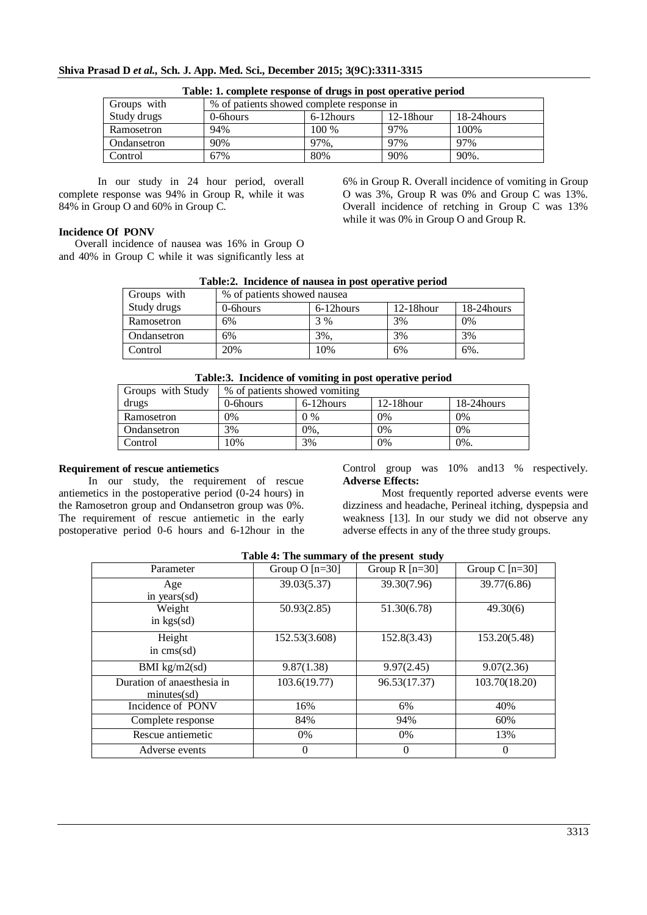|  |  |  | Shiva Prasad D et al., Sch. J. App. Med. Sci., December 2015; 3(9C):3311-3315 |
|--|--|--|-------------------------------------------------------------------------------|
|--|--|--|-------------------------------------------------------------------------------|

| Tubic, it complete response or arage in post operative period |                                           |           |              |             |  |
|---------------------------------------------------------------|-------------------------------------------|-----------|--------------|-------------|--|
| Groups with                                                   | % of patients showed complete response in |           |              |             |  |
| Study drugs                                                   | $0$ -6hours                               | 6-12hours | $12-18$ hour | 18-24 hours |  |
| Ramosetron                                                    | 94%                                       | 100 %     | 97%          | 100\%       |  |
| Ondansetron                                                   | 90%                                       | 97%,      | 97%          | 97%         |  |
| Control                                                       | 67%                                       | 80%       | 90%          | 90%.        |  |

|  | Table: 1. complete response of drugs in post operative period |  |  |  |
|--|---------------------------------------------------------------|--|--|--|
|  |                                                               |  |  |  |

In our study in 24 hour period, overall complete response was 94% in Group R, while it was 84% in Group O and 60% in Group C.

6% in Group R. Overall incidence of vomiting in Group O was 3%, Group R was 0% and Group C was 13%. Overall incidence of retching in Group C was 13% while it was 0% in Group O and Group R.

# **Incidence Of PONV**

 Overall incidence of nausea was 16% in Group O and 40% in Group C while it was significantly less at

| <b>Table.2.</b> Incluence of haused in post operative perfou- |                             |            |              |             |  |
|---------------------------------------------------------------|-----------------------------|------------|--------------|-------------|--|
| Groups with                                                   | % of patients showed nausea |            |              |             |  |
| Study drugs                                                   | 0-6 hours                   | 6-12 hours | $12-18$ hour | 18-24 hours |  |
| Ramosetron                                                    | 6%                          | 3 %        | 3%           | 0%          |  |
| Ondansetron                                                   | 6%                          | 3%.        | 3%           | 3%          |  |
| Control                                                       | 20%                         | 10%        | 6%           | $6\%$ .     |  |

# **Table:2. Incidence of nausea in post operative period**

| Table:3. Incidence of vomiting in post operative period |  |  |  |  |
|---------------------------------------------------------|--|--|--|--|
|---------------------------------------------------------|--|--|--|--|

| Groups with Study | % of patients showed vomiting |           |              |             |
|-------------------|-------------------------------|-----------|--------------|-------------|
| drugs             | $0$ -6 hours                  | 6-12hours | $12-18$ hour | 18-24 hours |
| Ramosetron        | 0%                            | $0\%$     | 0%           | 0%          |
| Ondansetron       | 3%                            | $0\%$ .   | 0%           | 0%          |
| Control           | 10%                           | 3%        | 0%           | 0%.         |

## **Requirement of rescue antiemetics**

 In our study, the requirement of rescue antiemetics in the postoperative period (0-24 hours) in the Ramosetron group and Ondansetron group was 0%. The requirement of rescue antiemetic in the early postoperative period 0-6 hours and 6-12hour in the Control group was 10% and13 % respectively. **Adverse Effects:**

Most frequently reported adverse events were dizziness and headache, Perineal itching, dyspepsia and weakness [13]. In our study we did not observe any adverse effects in any of the three study groups.

| Parameter                  | Group $O$ [n=30] | Group $R$ [n=30] | Group C $[n=30]$ |
|----------------------------|------------------|------------------|------------------|
| Age                        | 39.03(5.37)      | 39.30(7.96)      | 39.77(6.86)      |
| in years $(sd)$            |                  |                  |                  |
| Weight                     | 50.93(2.85)      | 51.30(6.78)      | 49.30(6)         |
| in $kgs(sd)$               |                  |                  |                  |
| Height                     | 152.53(3.608)    | 152.8(3.43)      | 153.20(5.48)     |
| in $\mathrm{cms}(sd)$      |                  |                  |                  |
| BMI $kg/m2$ (sd)           | 9.87(1.38)       | 9.97(2.45)       | 9.07(2.36)       |
| Duration of anaesthesia in | 103.6(19.77)     | 96.53(17.37)     | 103.70(18.20)    |
| minutes(sd)                |                  |                  |                  |
| Incidence of PONV          | 16%              | 6%               | 40%              |
| Complete response          | 84%              | 94%              | 60%              |
| Rescue antiemetic          | 0%               | 0%               | 13%              |
| Adverse events             | $\theta$         | $\overline{0}$   | 0                |

# **Table 4: The summary of the present study**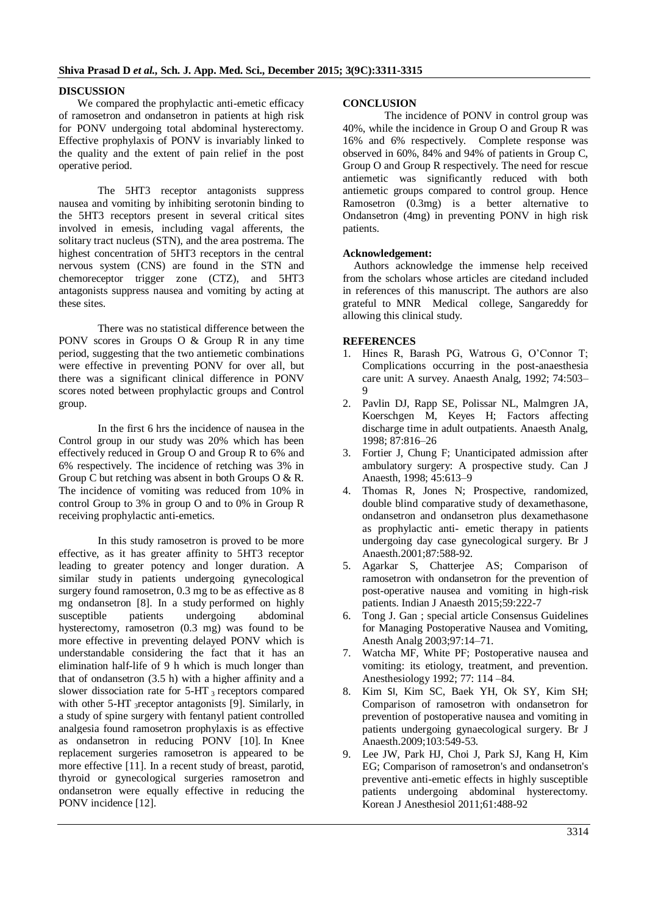### **DISCUSSION**

 We compared the prophylactic anti-emetic efficacy of ramosetron and ondansetron in patients at high risk for PONV undergoing total abdominal hysterectomy. Effective prophylaxis of PONV is invariably linked to the quality and the extent of pain relief in the post operative period.

The 5HT3 receptor antagonists suppress nausea and vomiting by inhibiting serotonin binding to the 5HT3 receptors present in several critical sites involved in emesis, including vagal afferents, the solitary tract nucleus (STN), and the area postrema. The highest concentration of 5HT3 receptors in the central nervous system (CNS) are found in the STN and chemoreceptor trigger zone (CTZ), and 5HT3 antagonists suppress nausea and vomiting by acting at these sites.

There was no statistical difference between the PONV scores in Groups O & Group R in any time period, suggesting that the two antiemetic combinations were effective in preventing PONV for over all, but there was a significant clinical difference in PONV scores noted between prophylactic groups and Control group.

In the first 6 hrs the incidence of nausea in the Control group in our study was 20% which has been effectively reduced in Group O and Group R to 6% and 6% respectively. The incidence of retching was 3% in Group C but retching was absent in both Groups O & R. The incidence of vomiting was reduced from 10% in control Group to 3% in group O and to 0% in Group R receiving prophylactic anti-emetics.

In this study ramosetron is proved to be more effective, as it has greater affinity to 5HT3 receptor leading to greater potency and longer duration. A similar study in patients undergoing gynecological surgery found ramosetron, 0.3 mg to be as effective as 8 mg ondansetron [8]. In a study performed on highly susceptible patients undergoing abdominal hysterectomy, ramosetron (0.3 mg) was found to be more effective in preventing delayed PONV which is understandable considering the fact that it has an elimination half-life of 9 h which is much longer than that of ondansetron (3.5 h) with a higher affinity and a slower dissociation rate for  $5-HT_3$  receptors compared with other 5-HT 3receptor antagonists [9]. Similarly, in a study of spine surgery with fentanyl patient controlled analgesia found ramosetron prophylaxis is as effective as ondansetron in reducing PONV [10]. In Knee replacement surgeries ramosetron is appeared to be more effective [11]. In a recent study of breast, parotid, thyroid or gynecological surgeries ramosetron and ondansetron were equally effective in reducing the PONV incidence [12].

#### **CONCLUSION**

The incidence of PONV in control group was 40%, while the incidence in Group O and Group R was 16% and 6% respectively. Complete response was observed in 60%, 84% and 94% of patients in Group C, Group O and Group R respectively. The need for rescue antiemetic was significantly reduced with both antiemetic groups compared to control group. Hence Ramosetron (0.3mg) is a better alternative to Ondansetron (4mg) in preventing PONV in high risk patients.

#### **Acknowledgement:**

Authors acknowledge the immense help received from the scholars whose articles are citedand included in references of this manuscript. The authors are also grateful to MNR Medical college, Sangareddy for allowing this clinical study.

#### **REFERENCES**

- 1. Hines R, Barash PG, Watrous G, O'Connor T; Complications occurring in the post-anaesthesia care unit: A survey. Anaesth Analg, 1992; 74:503– 9
- 2. Pavlin DJ, Rapp SE, Polissar NL, Malmgren JA, Koerschgen M, Keyes H; Factors affecting discharge time in adult outpatients. Anaesth Analg, 1998; 87:816–26
- 3. Fortier J, Chung F; Unanticipated admission after ambulatory surgery: A prospective study. Can J Anaesth, 1998; 45:613–9
- 4. Thomas R, Jones N; Prospective, randomized, double blind comparative study of dexamethasone, ondansetron and ondansetron plus dexamethasone as prophylactic anti- emetic therapy in patients undergoing day case gynecological surgery. Br J Anaesth.2001;87:588-92.
- 5. Agarkar S, Chatterjee AS; Comparison of ramosetron with ondansetron for the prevention of post-operative nausea and vomiting in high-risk patients. Indian J Anaesth 2015;59:222-7
- 6. Tong J. Gan ; special article Consensus Guidelines for Managing Postoperative Nausea and Vomiting, Anesth Analg 2003;97:14–71.
- 7. Watcha MF, White PF; Postoperative nausea and vomiting: its etiology, treatment, and prevention. Anesthesiology 1992; 77: 114 –84.
- 8. Kim SI, Kim SC, Baek YH, Ok SY, Kim SH; Comparison of ramosetron with ondansetron for prevention of postoperative nausea and vomiting in patients undergoing gynaecological surgery. Br J Anaesth.2009;103:549-53.
- 9. Lee JW, Park HJ, Choi J, Park SJ, Kang H, Kim EG; Comparison of ramosetron's and ondansetron's preventive anti-emetic effects in highly susceptible patients undergoing abdominal hysterectomy. Korean J Anesthesiol 2011;61:488-92